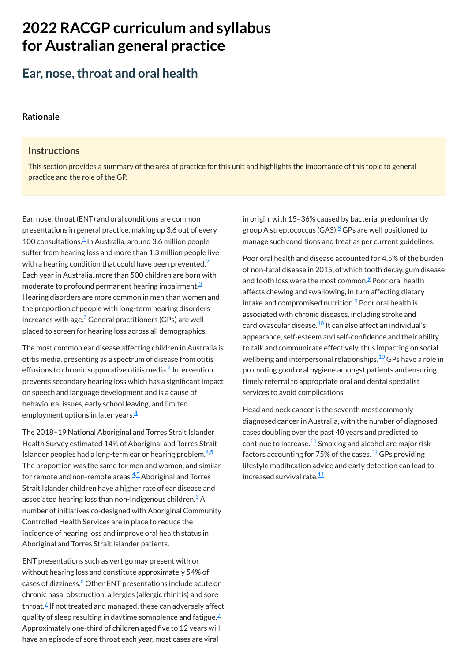# **2022 RACGP curriculum and syllabus for Australian [general practice](https://www.racgp.org.au/Curriculum-and-Syllabus/home)**

## **Ear, nose,throat and oral health**

#### **[Rationale](javascript:void(0))**

#### **Instructions**

This section provides a summary of the area of practice for this unit and highlights the importance of this topic to general practice and the role of the GP.

The most common ear disease affecting children in Australia is otitis media, presenting as a spectrum of disease from otitis effusions to chronic suppurative otitis media. $\frac{4}{3}$  $\frac{4}{3}$  $\frac{4}{3}$  Intervention prevents secondary hearing loss which has a significant impact on speech and language development and is a cause of behavioural issues, early school leaving, and limited employment options in later years. $\stackrel{4}{\rule{0pt}{0.5pt}}$  $\stackrel{4}{\rule{0pt}{0.5pt}}$  $\stackrel{4}{\rule{0pt}{0.5pt}}$ 

Ear, nose, throat (ENT) and oral conditions are common presentations in general practice, making up 3.6 out of every  $100$  $100$  consultations. $\frac{1}{2}$  In Australia, around 3.6 million people suffer from hearing loss and more than 1.3 million people live with a hearing condition that could have been prevented. $^2$  $^2$ Each year in Australia, more than 500 children are born with moderate to profound permanent hearing impairment. [3](#page-1-2) Hearing disorders are more common in men than women and the proportion of people with long-term hearing disorders increases with age. $\frac{3}{2}$  $\frac{3}{2}$  $\frac{3}{2}$  General practitioners (GPs) are well placed to screen for hearing loss across all demographics.

The 2018–19 National Aboriginal and Torres Strait Islander Health Survey estimated 14% of Aboriginal and Torres Strait Islander peoples had a long-term ear or hearing problem. $4.5$  $4.5$  $4.5$ The proportion was the same for men and women, and similar for remote and non-remote areas.<sup>[4,](#page-1-3)[5](#page-1-4)</sup> Aboriginal and Torres Strait Islander children have a higher rate of ear disease and associated hearing loss than non-Indigenous children.<sup>[5](#page-1-4)</sup> A number of initiatives co-designed with Aboriginal Community Controlled Health Services are in place to reduce the incidence of hearing loss and improve oral health status in Aboriginal and Torres Strait Islander patients.

Head and neck cancer is the seventh most commonly diagnosed cancer in Australia, with the number of diagnosed cases doubling over the past 40 years and predicted to continue to increase. $^{\underline{1}\underline{1}}$  Smoking and alcohol are major risk factors accounting for 75% of the cases.<sup>[11](#page-1-10)</sup> GPs providing lifestyle modification advice and early detection can lead to increased survival rate.<sup>[11](#page-1-10)</sup>

ENT presentations such as vertigo may present with or without hearing loss and constitute approximately 54% of cases of dizziness.[6](#page-1-5) Other ENT presentations include acute or chronic nasal obstruction, allergies (allergic rhinitis) and sore throat. $\frac{7}{2}$  $\frac{7}{2}$  $\frac{7}{2}$  If not treated and managed, these can adversely affect quality of sleep resulting in daytime somnolence and fatigue. $^{\mathbb{Z}}$ Approximately one-third of children aged five to 12 years will have an episode of sore throat each year, most cases are viral

in origin, with 15–36% caused by bacteria, predominantly group A streptococcus (GAS).<sup><u>[8](#page-1-7)</u> GPs are well positioned to</sup> manage such conditions and treat as per current guidelines.

Poor oral health and disease accounted for 4.5% of the burden of non-fatal disease in 2015, of which tooth decay, gum disease and tooth loss were the most common.<sup>2</sup> Poor oral health affects chewing and swallowing, in turn affecting dietary intake and compromised nutrition. $\frac{9}{5}$  $\frac{9}{5}$  $\frac{9}{5}$  Poor oral health is associated with chronic diseases, including stroke and cardiovascular disease.<sup>[10](#page-1-9)</sup> It can also affect an individual's appearance, self-esteem and self-confidence and their ability to talk and communicate effectively, thus impacting on social wellbeing and interpersonal relationships.<sup>[10](#page-1-9)</sup> GPs have a role in promoting good oral hygiene amongst patients and ensuring timely referral to appropriate oral and dental specialist services to avoid complications.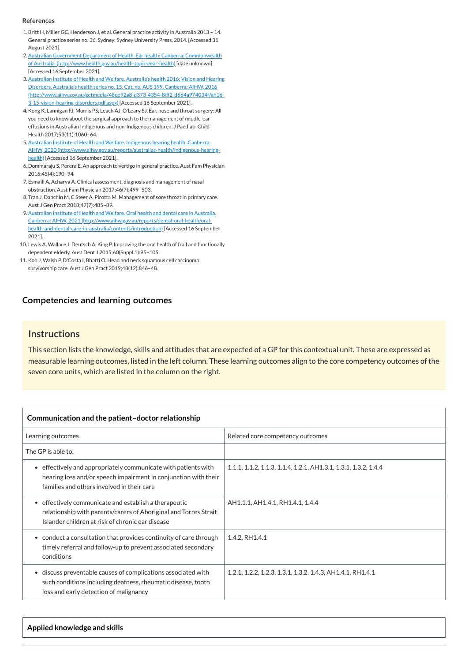#### **[Competencies and learning outcomes](javascript:void(0))**

#### **Instructions**

This section lists the knowledge, skills and attitudes that are expected of a GP for this contextual unit. These are expressed as measurable learning outcomes, listed in the left column. These learning outcomes align to the core competency outcomes of the seven core units, which are listed in the column on the right.

| Communication and the patient-doctor relationship                                                                                                                                          |                                                                 |
|--------------------------------------------------------------------------------------------------------------------------------------------------------------------------------------------|-----------------------------------------------------------------|
| Learning outcomes                                                                                                                                                                          | Related core competency outcomes                                |
| The GP is able to:                                                                                                                                                                         |                                                                 |
| effectively and appropriately communicate with patients with<br>$\bullet$<br>hearing loss and/or speech impairment in conjunction with their<br>families and others involved in their care | 1.1.1, 1.1.2, 1.1.3, 1.1.4, 1.2.1, AH1.3.1, 1.3.1, 1.3.2, 1.4.4 |
| effectively communicate and establish a therapeutic<br>$\bullet$<br>relationship with parents/carers of Aboriginal and Torres Strait<br>Islander children at risk of chronic ear disease   | AH1.1.1, AH1.4.1, RH1.4.1, 1.4.4                                |
| • conduct a consultation that provides continuity of care through<br>timely referral and follow-up to prevent associated secondary<br>conditions                                           | 1.4.2, RH1.4.1                                                  |
| discuss preventable causes of complications associated with<br>$\bullet$<br>such conditions including deafness, rheumatic disease, tooth<br>loss and early detection of malignancy         | 1.2.1, 1.2.2, 1.2.3, 1.3.1, 1.3.2, 1.4.3, AH1.4.1, RH1.4.1      |

**Applied knowledge and skills**

#### **References**

- <span id="page-1-0"></span>1.Britt H, Miller GC, Henderson J, et al. General practice activity in Australia 2013 – 14. General practice series no. 36. Sydney: Sydney University Press, 2014. [Accessed 31 August 2021].
- <span id="page-1-1"></span>2. Australian Government Department of Health. Ear health: Canberra: Commonwealth of Australia. [\(http://www.health.gov.au/health-topics/ear-health\)](http://www.health.gov.au/health-topics/ear-health) [date unknown] [Accessed 16 September 2021].
- <span id="page-1-2"></span>3.Australian Institute of Health and Welfare. Australia's health 2016: Vision and Hearing Disorders. Australia's health series no. 15. Cat. no. AUS 199. Canberra: AIHW, 2016 [\(http://www.aihw.gov.au/getmedia/48ee92a8-d373-4354-8df2-d664a974034f/ah16-](http://www.aihw.gov.au/getmedia/48ee92a8-d373-4354-8df2-d664a974034f/ah16-3-15-vision-hearing-disorders.pdf.aspx) 3-15-vision-hearing-disorders.pdf.aspx) [Accessed 16 September 2021].
- <span id="page-1-3"></span>4.Kong K, Lannigan FJ, Morris PS, Leach AJ, O'Leary SJ. Ear, nose and throat surgery: All you need to know about the surgical approach to the management of middle-ear effusions in Australian Indigenous and non-Indigenous children. J Paediatr Child Health 2017;53(11):1060–64.
- <span id="page-1-4"></span>5. Australian Institute of Health and Welfare. Indigenous hearing health: Canberra: AIHW, 2020 [\(http://www.aihw.gov.au/reports/australias-health/indigenous-hearing](http://www.aihw.gov.au/reports/australias-health/indigenous-hearing-health)health) [Accessed 16 September 2021].
- <span id="page-1-5"></span>6. Dommaraju S, Perera E. An approach to vertigo in general practice. Aust Fam Physician 2016;45(4):190–94.
- <span id="page-1-6"></span>7. Esmaili A, Acharya A. Clinical assessment, diagnosis and management of nasal obstruction. Aust Fam Physician 2017;46(7):499–503.
- <span id="page-1-7"></span>8. Tran J, Danchin M, C Steer A, Pirotta M. Management of sore throat in primary care. Aust J Gen Pract 2018;47(7):485–89.
- <span id="page-1-8"></span>9. Australian Institute of Health and Welfare. Oral health and dental care in Australia. Canberra: AIHW, 2021 (http://www.aihw.gov.au/reports/dental-oral-health/oral[health-and-dental-care-in-australia/contents/introduction\)](http://www.aihw.gov.au/reports/dental-oral-health/oral-health-and-dental-care-in-australia/contents/introduction) [Accessed 16 September 2021].
- <span id="page-1-9"></span>10. Lewis A, Wallace J, Deutsch A, King P. Improving the oral health of frail and functionally dependent elderly. Aust Dent J 2015;60(Suppl 1):95–105.
- <span id="page-1-10"></span>11. Koh J, Walsh P, D'Costa I, Bhatti O. Head and neck squamous cell carcinoma survivorship care. Aust J Gen Pract 2019;48(12):846–48.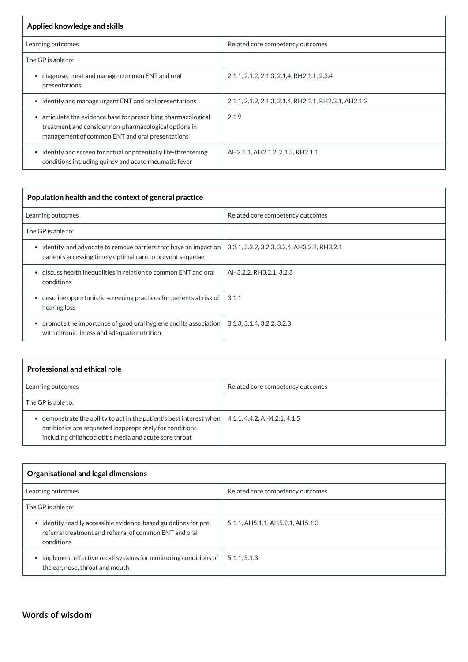| Applied knowledge and skills                                                                                                                                                          |                                                       |  |
|---------------------------------------------------------------------------------------------------------------------------------------------------------------------------------------|-------------------------------------------------------|--|
| Learning outcomes                                                                                                                                                                     | Related core competency outcomes                      |  |
| The GP is able to:                                                                                                                                                                    |                                                       |  |
| diagnose, treat and manage common ENT and oral<br>presentations                                                                                                                       | 2.1.1, 2.1.2, 2.1.3, 2.1.4, RH2.1.1, 2.3.4            |  |
| • identify and manage urgent ENT and oral presentations                                                                                                                               | 2.1.1, 2.1.2, 2.1.3, 2.1.4, RH2.1.1, RH2.3.1, AH2.1.2 |  |
| articulate the evidence base for prescribing pharmacological<br>$\bullet$<br>treatment and consider non-pharmacological options in<br>management of common ENT and oral presentations | 2.1.9                                                 |  |
| • identify and screen for actual or potentially life-threatening<br>conditions including quinsy and acute rheumatic fever                                                             | AH2.1.1, AH2.1.2, 2.1.3, RH2.1.1                      |  |

| Population health and the context of general practice                                                                               |                                              |  |
|-------------------------------------------------------------------------------------------------------------------------------------|----------------------------------------------|--|
| Learning outcomes                                                                                                                   | Related core competency outcomes             |  |
| The GP is able to:                                                                                                                  |                                              |  |
| identify, and advocate to remove barriers that have an impact on<br>٠<br>patients accessing timely optimal care to prevent sequelae | 3.2.1, 3.2.2, 3.2.3, 3.2.4, AH3.2.2, RH3.2.1 |  |
| • discuss health inequalities in relation to common ENT and oral<br>conditions                                                      | AH3.2.2, RH3.2.1, 3.2.3                      |  |
| describe opportunistic screening practices for patients at risk of<br>hearing loss                                                  | 3.1.1                                        |  |
| promote the importance of good oral hygiene and its association<br>$\bullet$<br>with chronic illness and adequate nutrition         | 3.1.3, 3.1.4, 3.2.2, 3.2.3                   |  |

| <b>Professional and ethical role</b>                                                                                                                                                     |                                  |
|------------------------------------------------------------------------------------------------------------------------------------------------------------------------------------------|----------------------------------|
| Learning outcomes                                                                                                                                                                        | Related core competency outcomes |
| The GP is able to:                                                                                                                                                                       |                                  |
| demonstrate the ability to act in the patient's best interest when<br>antibiotics are requested inappropriately for conditions<br>including childhood otitis media and acute sore throat | 4.1.1, 4.4.2, AH4.2.1, 4.1.5     |

| <b>Organisational and legal dimensions</b> |                                  |
|--------------------------------------------|----------------------------------|
| Learning outcomes                          | Related core competency outcomes |

| The GP is able to:                                                                                                                       |                                  |
|------------------------------------------------------------------------------------------------------------------------------------------|----------------------------------|
| • identify readily accessible evidence-based guidelines for pre-<br>referral treatment and referral of common ENT and oral<br>conditions | 5.1.1, AH5.1.1, AH5.2.1, AH5.1.3 |
| implement effective recall systems for monitoring conditions of<br>the ear, nose, throat and mouth                                       | 5.1.1, 5.1.3                     |

**[Words of wisdom](javascript:void(0))**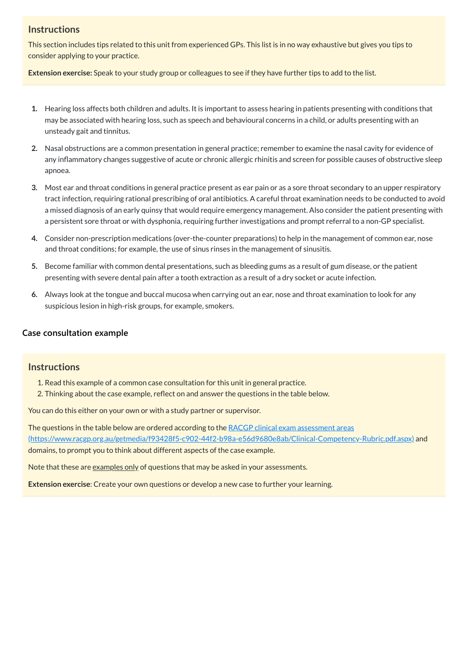## **Instructions**

This section includes tips related to this unit from experienced GPs. This list is in no way exhaustive but gives you tips to consider applying to your practice.

**Extension exercise:** Speak to your study group or colleagues to see if they have further tips to add to the list.

- **1.** Hearing loss affects both children and adults. It is important to assess hearing in patients presenting with conditions that may be associated with hearing loss, such as speech and behavioural concerns in a child, or adults presenting with an unsteady gait and tinnitus.
- **2.** Nasal obstructions are a common presentation in general practice; remember to examine the nasal cavity for evidence of any inflammatory changes suggestive of acute or chronic allergic rhinitis and screen for possible causes of obstructive sleep apnoea.
- **3.** Most ear and throat conditions in general practice present as ear pain or as a sore throat secondary to an upper respiratory tract infection, requiring rational prescribing of oral antibiotics. A careful throat examination needs to be conducted to avoid a missed diagnosis of an early quinsy that would require emergency management. Also consider the patient presenting with a persistent sore throat or with dysphonia, requiring further investigations and prompt referral to a non-GP specialist.
- **4.** Consider non-prescription medications (over-the-counter preparations) to help in the management of common ear, nose and throat conditions; for example, the use of sinus rinses in the management of sinusitis.
- **5.** Become familiar with common dental presentations, such as bleeding gums as a result of gum disease, or the patient presenting with severe dental pain after a tooth extraction as a result of a dry socket or acute infection.
- **6.** Always look at the tongue and buccal mucosa when carrying out an ear, nose and throat examination to look for any suspicious lesion in high-risk groups, for example, smokers.

The questions in the table below are ordered according to the RACGP clinical exam assessment areas [\(https://www.racgp.org.au/getmedia/f93428f5-c902-44f2-b98a-e56d9680e8ab/Clinical-Competency-Rubric.pdf.aspx\)](https://www.racgp.org.au/getmedia/f93428f5-c902-44f2-b98a-e56d9680e8ab/Clinical-Competency-Rubric.pdf.aspx) and domains, to prompt you to think about different aspects of the case example.

Note that these are <u>examples only</u> of questions that may be asked in your assessments.

## **[Case consultation example](javascript:void(0))**

## **Instructions**

- 1. Read this example of a common case consultation for this unit in general practice.
- 2. Thinking about the case example, reflect on and answer the questions in the table below.

You can do this either on your own or with a study partner or supervisor.

**Extension exercise**: Create your own questions or develop a new case to further your learning.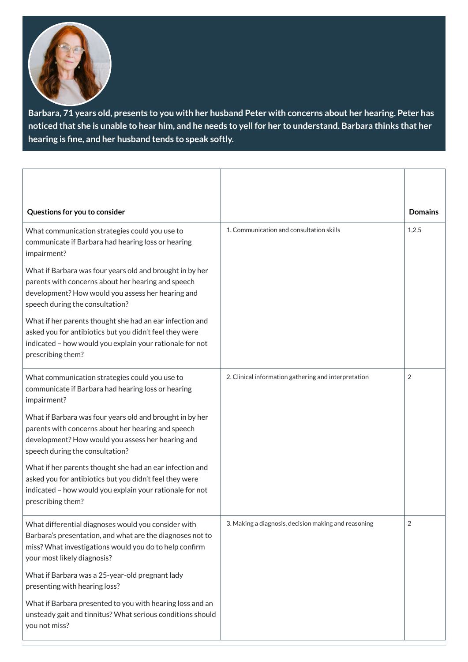

Barbara, 71 years old, presents to you with her husband Peter with concerns about her hearing. Peter has noticed that she is unable to hear him, and he needs to yell for her to understand. Barbara thinks that her **hearing is fine, and her husband tends to speak softly.**

| Questions for you to consider                                                                                                                                                                             |                                                      | <b>Domains</b> |
|-----------------------------------------------------------------------------------------------------------------------------------------------------------------------------------------------------------|------------------------------------------------------|----------------|
| What communication strategies could you use to<br>communicate if Barbara had hearing loss or hearing<br>impairment?                                                                                       | 1. Communication and consultation skills             | 1,2,5          |
| What if Barbara was four years old and brought in by her<br>parents with concerns about her hearing and speech<br>development? How would you assess her hearing and<br>speech during the consultation?    |                                                      |                |
| What if her parents thought she had an ear infection and<br>asked you for antibiotics but you didn't feel they were<br>indicated - how would you explain your rationale for not<br>prescribing them?      |                                                      |                |
| What communication strategies could you use to<br>communicate if Barbara had hearing loss or hearing<br>impairment?                                                                                       | 2. Clinical information gathering and interpretation | $\overline{2}$ |
| What if Barbara was four years old and brought in by her<br>parents with concerns about her hearing and speech<br>development? How would you assess her hearing and<br>speech during the consultation?    |                                                      |                |
| What if her parents thought she had an ear infection and<br>asked you for antibiotics but you didn't feel they were<br>indicated - how would you explain your rationale for not<br>prescribing them?      |                                                      |                |
| What differential diagnoses would you consider with<br>Barbara's presentation, and what are the diagnoses not to<br>miss? What investigations would you do to help confirm<br>your most likely diagnosis? | 3. Making a diagnosis, decision making and reasoning | $\overline{2}$ |
| What if Barbara was a 25-year-old pregnant lady<br>presenting with hearing loss?                                                                                                                          |                                                      |                |
| What if Barbara presented to you with hearing loss and an<br>unsteady gait and tinnitus? What serious conditions should<br>you not miss?                                                                  |                                                      |                |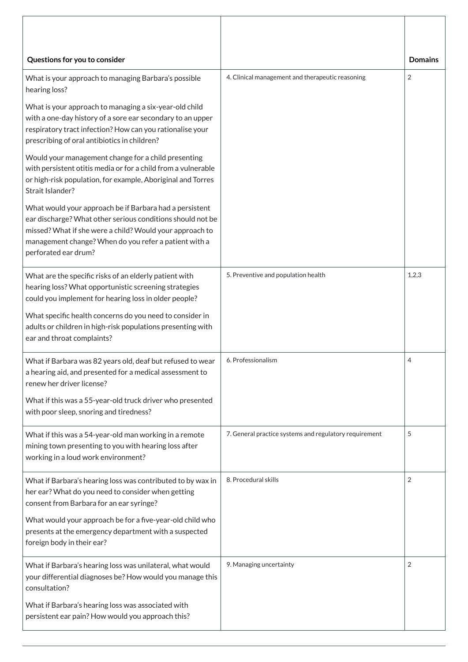| Questions for you to consider                                                                                                                                                                                                                                      |                                                        | <b>Domains</b> |
|--------------------------------------------------------------------------------------------------------------------------------------------------------------------------------------------------------------------------------------------------------------------|--------------------------------------------------------|----------------|
| What is your approach to managing Barbara's possible<br>hearing loss?                                                                                                                                                                                              | 4. Clinical management and therapeutic reasoning       | $\overline{2}$ |
| What is your approach to managing a six-year-old child<br>with a one-day history of a sore ear secondary to an upper<br>respiratory tract infection? How can you rationalise your<br>prescribing of oral antibiotics in children?                                  |                                                        |                |
| Would your management change for a child presenting<br>with persistent otitis media or for a child from a vulnerable<br>or high-risk population, for example, Aboriginal and Torres<br>Strait Islander?                                                            |                                                        |                |
| What would your approach be if Barbara had a persistent<br>ear discharge? What other serious conditions should not be<br>missed? What if she were a child? Would your approach to<br>management change? When do you refer a patient with a<br>perforated ear drum? |                                                        |                |
| What are the specific risks of an elderly patient with<br>hearing loss? What opportunistic screening strategies<br>could you implement for hearing loss in older people?                                                                                           | 5. Preventive and population health                    | 1,2,3          |
| What specific health concerns do you need to consider in<br>adults or children in high-risk populations presenting with<br>ear and throat complaints?                                                                                                              |                                                        |                |
| What if Barbara was 82 years old, deaf but refused to wear<br>a hearing aid, and presented for a medical assessment to<br>renew her driver license?                                                                                                                | 6. Professionalism                                     | 4              |
| What if this was a 55-year-old truck driver who presented<br>with poor sleep, snoring and tiredness?                                                                                                                                                               |                                                        |                |
| What if this was a 54-year-old man working in a remote<br>mining town presenting to you with hearing loss after<br>working in a loud work environment?                                                                                                             | 7. General practice systems and regulatory requirement | 5              |
| What if Barbara's hearing loss was contributed to by wax in<br>her ear? What do you need to consider when getting<br>consent from Barbara for an ear syringe?                                                                                                      | 8. Procedural skills                                   | 2              |
| What would your approach be for a five-year-old child who<br>presents at the emergency department with a suspected<br>foreign body in their ear?                                                                                                                   |                                                        |                |
| What if Barbara's hearing loss was unilateral, what would<br>your differential diagnoses be? How would you manage this<br>consultation?                                                                                                                            | 9. Managing uncertainty                                | $\overline{2}$ |
| What if Barbara's hearing loss was associated with<br>persistent ear pain? How would you approach this?                                                                                                                                                            |                                                        |                |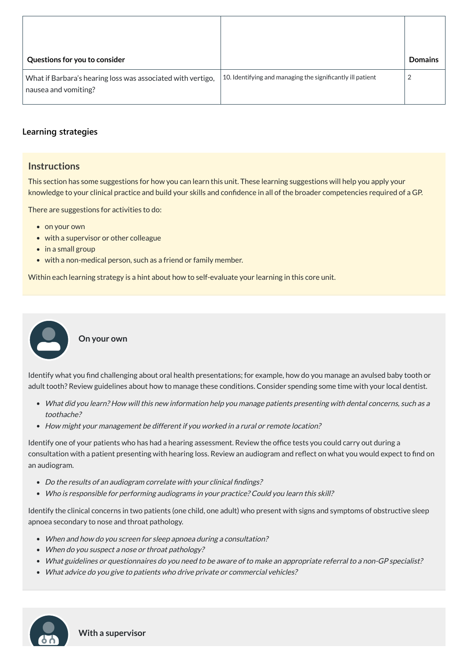| Questions for you to consider                                                       |                                                            | <b>Domains</b> |
|-------------------------------------------------------------------------------------|------------------------------------------------------------|----------------|
| What if Barbara's hearing loss was associated with vertigo,<br>nausea and vomiting? | 10. Identifying and managing the significantly ill patient | $\overline{2}$ |

## **[Learning strategies](javascript:void(0))**

## **Instructions**

This section has some suggestions for how you can learn this unit. These learning suggestions will help you apply your knowledge to your clinical practice and build your skills and confidence in all of the broader competencies required of a GP.

There are suggestions for activities to do:

- on your own
- with a supervisor or other colleague
- in a small group
- with a non-medical person, such as a friend or family member.

Within each learning strategy is a hint about how to self-evaluate your learning in this core unit.

- Do the results of an audiogram correlate with your clinical findings?
- Who is responsible for performing audiograms in your practice? Could you learn this skill?

**On your own**

Identify what you find challenging about oral health presentations; for example, how do you manage an avulsed baby tooth or adult tooth? Review guidelines about how to manage these conditions. Consider spending some time with your local dentist.

- What did you learn? How will this new information help you manage patients presenting with dental concerns, such as <sup>a</sup> toothache?
- How might your management be different if you worked in <sup>a</sup> rural or remote location?

Identify one of your patients who has had a hearing assessment. Review the office tests you could carry out during a consultation with a patient presenting with hearing loss. Review an audiogram and reflect on what you would expect to find on an audiogram.

Identify the clinical concerns in two patients (one child, one adult) who present with signs and symptoms of obstructive sleep apnoea secondary to nose and throat pathology.

- When and how do you screen for sleep apnoea during <sup>a</sup> consultation?
- When do you suspect a nose or throat pathology?
- What guidelines or questionnaires do you need to be aware of to make an appropriate referral to <sup>a</sup> non-GP specialist?
- What advice do you give to patients who drive private or commercial vehicles?



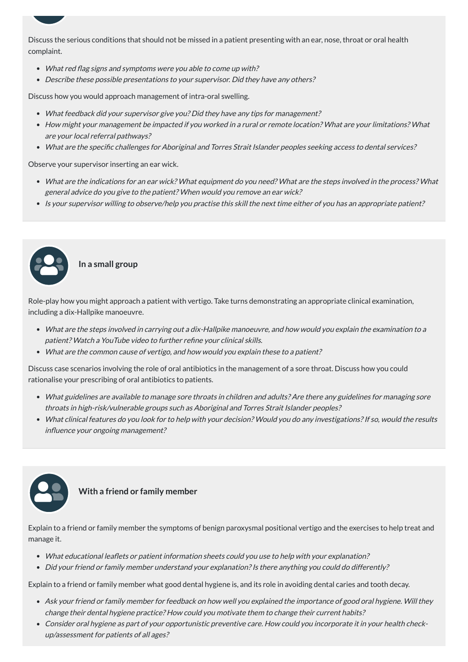Discuss the serious conditions that should not be missed in a patient presenting with an ear, nose, throat or oral health complaint.

- What red flag signs and symptoms were you able to come up with?
- Describe these possible presentations to your supervisor. Did they have any others?

Discuss how you would approach management of intra-oral swelling.

- What are the indications for an ear wick? What equipment do you need? What are the steps involved in the process? What general advice do you give to the patient? When would you remove an ear wick?
- Is your supervisor willing to observe/help you practise this skill the next time either of you has an appropriate patient?
- What feedback did your supervisor give you? Did they have any tips for management?
- How might your management be impacted if you worked in <sup>a</sup> rural or remote location? What are your limitations? What are your local referral pathways?
- What are the specific challenges for Aboriginal and Torres Strait Islander peoples seeking access to dental services?

Observe your supervisor inserting an ear wick.

**In a small group**

- What educational leaflets or patient information sheets could you use to help with your explanation?
- Did your friend or family member understand your explanation? Is there anything you could do differently?

Role-play how you might approach a patient with vertigo. Take turns demonstrating an appropriate clinical examination, including a dix-Hallpike manoeuvre.

- What are the steps involved in carrying out <sup>a</sup> dix-Hallpike manoeuvre, and how would you explain the examination to <sup>a</sup> patient? Watch <sup>a</sup> YouTube video to further refine your clinical skills.
- What are the common cause of vertigo, and how would you explain these to <sup>a</sup> patient?

Discuss case scenarios involving the role of oral antibiotics in the management of a sore throat. Discuss how you could rationalise your prescribing of oral antibiotics to patients.

- What guidelines are available to manage sore throats in children and adults? Are there any guidelines for managing sore throats in high-risk/vulnerable groups such as Aboriginal and Torres Strait Islander peoples?
- What clinical features do you look for to help with your decision? Would you do any investigations?If so, would the results influence your ongoing management?



Explain to a friend or family member the symptoms of benign paroxysmal positional vertigo and the exercises to help treat and manage it.

Explain to a friend or family member what good dental hygiene is, and its role in avoiding dental caries and tooth decay.

- Ask your friend or family member for feedback on how well you explained the importance of good oral hygiene. Will they change their dental hygiene practice? How could you motivate them to change their current habits?
- Consider oral hygiene as part of your opportunistic preventive care. How could you incorporate it in your health checkup/assessment for patients of all ages?

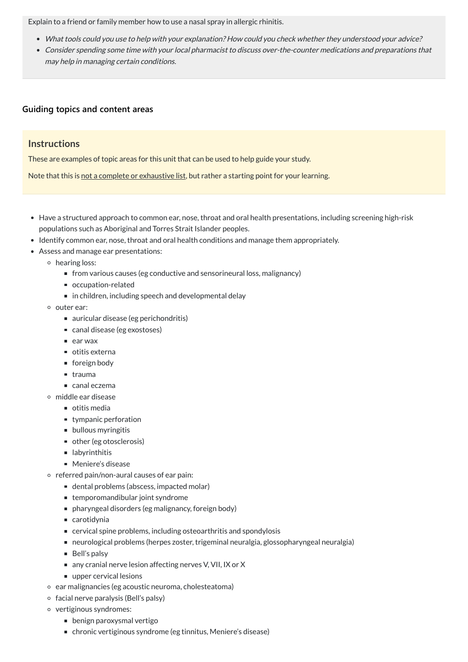Explain to a friend or family member how to use a nasal spray in allergic rhinitis.

- What tools could you use to help with your explanation? How could you check whether they understood your advice?
- Consider spending some time with your local pharmacist to discuss over-the-counter medications and preparations that may help in managing certain conditions.

## **[Guiding topics and content areas](javascript:void(0))**

## **Instructions**

These are examples of topic areas for this unit that can be used to help guide your study.

Note that this is not a complete or exhaustive list, but rather a starting point for your learning.

- Have a structured approach to common ear, nose, throat and oral health presentations, including screening high-risk populations such as Aboriginal and Torres Strait Islander peoples.
- Identify common ear, nose, throat and oral health conditions and manage them appropriately.
- Assess and manage ear presentations:
	- hearing loss:
		- from various causes (eg conductive and sensorineural loss, malignancy)
		- occupation-related
		- in children, including speech and developmental delay
	- outer ear:
		- auricular disease (eg perichondritis)
		- canal disease (eg exostoses)
		- $\blacksquare$  ear wax
		- otitis externa
		- foreign body
		- $\blacksquare$  trauma
		- canal eczema
	- middle ear disease
		- $\blacksquare$  otitis media
		- tympanic perforation
		- **bullous myringitis**
		- other (eg otosclerosis)
		- labyrinthitis
		- Meniere's disease
	- $\circ$  referred pain/non-aural causes of ear pain:
		- dental problems (abscess, impacted molar)
		- temporomandibular joint syndrome
			-
		- pharyngeal disorders (eg malignancy, foreign body)
		- carotidynia
		- cervical spine problems, including osteoarthritis and spondylosis
		- neurological problems (herpes zoster, trigeminal neuralgia, glossopharyngeal neuralgia)
		- Bell's palsy
		- any cranial nerve lesion affecting nerves V, VII, IX or X
		- upper cervical lesions
	- o ear malignancies (eg acoustic neuroma, cholesteatoma)
	- $\circ$  facial nerve paralysis (Bell's palsy)
	- vertiginous syndromes:
		- benign paroxysmal vertigo
		- chronic vertiginous syndrome (eg tinnitus, Meniere's disease)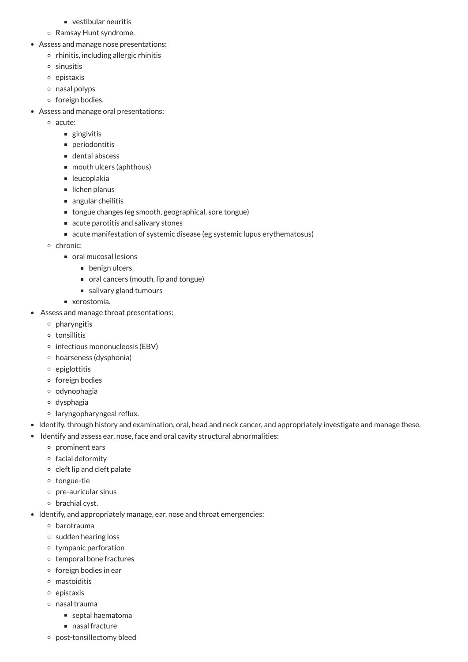- vestibular neuritis
- Ramsay Hunt syndrome.
- Assess and manage nose presentations:
	- $\circ$  rhinitis, including allergic rhinitis
	- sinusitis
	- $\circ$  epistaxis
	- nasal polyps
	- o foreign bodies.
- Assess and manage oral presentations:
	- acute:
		- gingivitis
		- **periodontitis**
		- dental abscess
		- mouth ulcers (aphthous)
		- leucoplakia
		- $\blacksquare$  lichen planus
		- angular cheilitis
		- tongue changes (eg smooth, geographical, sore tongue)
		- acute parotitis and salivary stones
		- acute manifestation of systemic disease (eg systemic lupus erythematosus)
	- o chronic:
		- oral mucosal lesions
			- **benign ulcers**
			- oral cancers (mouth, lip and tongue)
			- salivary gland tumours
		- **EXECUTE:** xerostomia.
- Assess and manage throat presentations:
	- $\circ$  pharyngitis
	- tonsillitis
	- $\circ$  infectious mononucleosis (EBV)
	- hoarseness (dysphonia)
	- $\circ$  epiglottitis
	- o foreign bodies
	- o odynophagia
	- dysphagia
	- laryngopharyngeal reflux.
- Identify, through history and examination, oral, head and neck cancer, and appropriately investigate and manage these.
- Identify and assess ear, nose, face and oral cavity structural abnormalities:
	- $\circ$  prominent ears
	- o facial deformity
	- $\circ$  cleft lip and cleft palate
	- tongue-tie
	- pre-auricular sinus
	- brachial cyst.
- Identify, and appropriately manage, ear, nose and throat emergencies:
	- barotrauma
	- sudden hearing loss
	- tympanic perforation
	- o temporal bone fractures
	- $\circ$  foreign bodies in ear
	- mastoiditis
	- $\circ$  epistaxis
	- nasal trauma
		- septal haematoma
		- nasal fracture
	- post-tonsillectomy bleed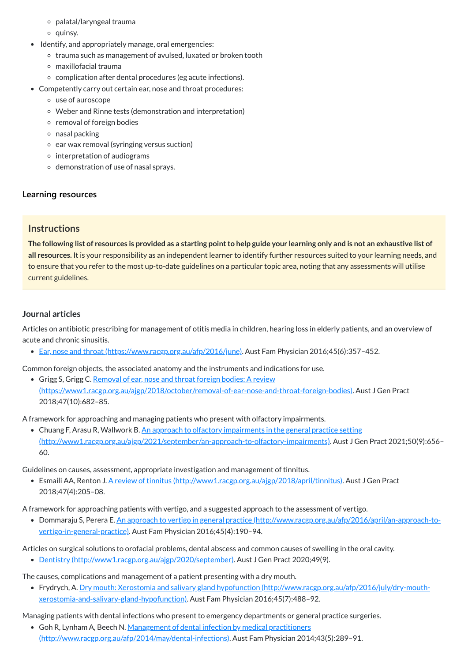The following list of resources is provided as a starting point to help guide your learning only and is not an exhaustive list of **all resources.** It is your responsibility as an independent learner to identify further resources suited to your learning needs, and to ensure that you refer to the most up-to-date guidelines on a particular topic area, noting that any assessments will utilise current guidelines.

- palatal/laryngeal trauma
- quinsy.
- Identify, and appropriately manage, oral emergencies:
	- trauma such as management of avulsed, luxated or broken tooth
	- maxillofacial trauma
	- complication after dental procedures (eg acute infections).
- Competently carry out certain ear, nose and throat procedures:
	- use of auroscope
	- Weber and Rinne tests (demonstration and interpretation)
	- $\circ$  removal of foreign bodies
	- $\circ$  nasal packing
	- $\circ$  ear wax removal (syringing versus suction)
	- $\circ$  interpretation of audiograms
	- o demonstration of use of nasal sprays.

## **[Learning resources](javascript:void(0))**

## **Instructions**

Grigg S, Grigg C. Removal of ear, nose and throat foreign bodies: A review [\(https://www1.racgp.org.au/ajgp/2018/october/removal-of-ear-nose-and-throat-foreign-bodies\)](https://www1.racgp.org.au/ajgp/2018/october/removal-of-ear-nose-and-throat-foreign-bodies). Aust J Gen Pract 2018;47(10):682–85.

• Chuang F, Arasu R, Wallwork B. An approach to olfactory impairments in the general practice setting [\(http://www1.racgp.org.au/ajgp/2021/september/an-approach-to-olfactory-impairments\).](http://www1.racgp.org.au/ajgp/2021/september/an-approach-to-olfactory-impairments) Aust J Gen Pract 2021;50(9):656– 60.

#### **Journal articles**

Articles on antibiotic prescribing for management of otitis media in children, hearing loss in elderly patients, and an overview of acute and chronic sinusitis.

• Ear, nose and throat [\(https://www.racgp.org.au/afp/2016/june\).](https://www.racgp.org.au/afp/2016/june) Aust Fam Physician 2016;45(6):357-452.

Common foreign objects, the associated anatomy and the instruments and indications for use.

A framework for approaching and managing patients who present with olfactory impairments.

Guidelines on causes, assessment, appropriate investigation and management of tinnitus.

Esmaili AA, Renton J. A review of tinnitus [\(http://www1.racgp.org.au/ajgp/2018/april/tinnitus\)](http://www1.racgp.org.au/ajgp/2018/april/tinnitus). Aust J Gen Pract 2018;47(4):205–08.

A framework for approaching patients with vertigo, and a suggested approach to the assessment of vertigo.

Dommaraju S, Perera E. An approach to vertigo in general practice [\(http://www.racgp.org.au/afp/2016/april/an-approach-to](http://www.racgp.org.au/afp/2016/april/an-approach-to-vertigo-in-general-practice)vertigo-in-general-practice). Aust Fam Physician 2016;45(4):190–94.

Articles on surgical solutions to orofacial problems, dental abscess and common causes of swelling in the oral cavity.

• Dentistry [\(http://www1.racgp.org.au/ajgp/2020/september\).](http://www1.racgp.org.au/ajgp/2020/september) Aust J Gen Pract 2020;49(9).

The causes, complications and management of a patient presenting with a dry mouth.

Frydrych, A. Dry mouth: Xerostomia and salivary gland hypofunction [\(http://www.racgp.org.au/afp/2016/july/dry-mouth](http://www.racgp.org.au/afp/2016/july/dry-mouth-xerostomia-and-salivary-gland-hypofunction)xerostomia-and-salivary-gland-hypofunction). Aust Fam Physician 2016;45(7):488–92.

Managing patients with dental infections who present to emergency departments or general practice surgeries.

• Goh R, Lynham A, Beech N. Management of dental infection by medical practitioners

[\(http://www.racgp.org.au/afp/2014/may/dental-infections\).](http://www.racgp.org.au/afp/2014/may/dental-infections) Aust Fam Physician 2014;43(5):289–91.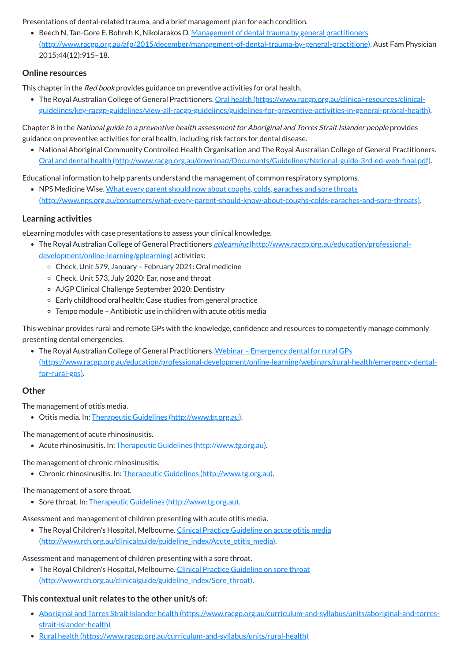Presentations of dental-related trauma, and a brief management plan for each condition.

• Beech N, Tan-Gore E. Bohreh K, Nikolarakos D. Management of dental trauma by general practitioners [\(http://www.racgp.org.au/afp/2015/december/management-of-dental-trauma-by-general-practitione\)](http://www.racgp.org.au/afp/2015/december/management-of-dental-trauma-by-general-practitione). Aust Fam Physician 2015;44(12):915–18.

#### **Online resources**

This chapter in the Red book provides guidance on preventive activities for oral health.

• The Royal Australian College of General Practitioners. Oral health (https://www.racgp.org.au/clinical-resources/clinical[guidelines/key-racgp-guidelines/view-all-racgp-guidelines/guidelines-for-preventive-activities-in-general-pr/oral-health\)](https://www.racgp.org.au/clinical-resources/clinical-guidelines/key-racgp-guidelines/view-all-racgp-guidelines/guidelines-for-preventive-activities-in-general-pr/oral-health).

• NPS Medicine Wise. What every parent should now about coughs, colds, earaches and sore throats [\(http://www.nps.org.au/consumers/what-every-parent-should-know-about-coughs-colds-earaches-and-sore-throats\).](http://www.nps.org.au/consumers/what-every-parent-should-know-about-coughs-colds-earaches-and-sore-throats)

Chapter 8 in the National guide to <sup>a</sup> preventive health assessment for Aboriginal and Torres Strait Islander people provides guidance on preventive activities for oral health, including risk factors for dental disease.

- The Royal Australian College of General Practitioners *gplearning* [\(http://www.racgp.org.au/education/professional](http://www.racgp.org.au/education/professional-development/online-learning/gplearning)development/online-learning/gplearning) activities:
	- Check, Unit 579, January February 2021: Oral medicine
	- Check, Unit 573, July 2020: Ear, nose and throat
	- AJGP Clinical Challenge September 2020: Dentistry
	- Early childhood oral health: Case studies from general practice
	- Tempo module Antibiotic use in children with acute otitis media

National Aboriginal Community Controlled Health Organisation and The Royal Australian College of General Practitioners. Oral and dental health [\(http://www.racgp.org.au/download/Documents/Guidelines/National-guide-3rd-ed-web-final.pdf\).](http://www.racgp.org.au/download/Documents/Guidelines/National-guide-3rd-ed-web-final.pdf)

Educational information to help parents understand the management of common respiratory symptoms.

• The Royal Australian College of General Practitioners. Webinar – Emergency dental for rural GPs [\(https://www.racgp.org.au/education/professional-development/online-learning/webinars/rural-health/emergency-dental](https://www.racgp.org.au/education/professional-development/online-learning/webinars/rural-health/emergency-dental-for-rural-gps)for-rural-gps).

#### **Learning activities**

eLearning modules with case presentations to assess your clinical knowledge.

• The Royal Children's Hospital, Melbourne. Clinical Practice Guideline on acute otitis media [\(http://www.rch.org.au/clinicalguide/guideline\\_index/Acute\\_otitis\\_media\).](http://www.rch.org.au/clinicalguide/guideline_index/Acute_otitis_media)

This webinar provides rural and remote GPs with the knowledge, confidence and resources to competently manage commonly presenting dental emergencies.

#### **Other**

The management of otitis media.

Otitis media. In: Therapeutic Guidelines [\(http://www.tg.org.au\).](http://www.tg.org.au/)

The management of acute rhinosinusitis.

Acute rhinosinusitis. In: Therapeutic Guidelines [\(http://www.tg.org.au\)](http://www.tg.org.au/).

The management of chronic rhinosinusitis.

Chronic rhinosinusitis. In: Therapeutic Guidelines [\(http://www.tg.org.au\)](http://www.tg.org.au/).

#### The management of a sore throat.

- - Sore throat. In: Therapeutic Guidelines [\(http://www.tg.org.au\).](http://www.tg.org.au/)

Assessment and management of children presenting with acute otitis media.

Assessment and management of children presenting with a sore throat.

• The Royal Children's Hospital, Melbourne. Clinical Practice Guideline on sore throat [\(http://www.rch.org.au/clinicalguide/guideline\\_index/Sore\\_throat\).](http://www.rch.org.au/clinicalguide/guideline_index/Sore_throat)

#### **This contextual unit relates to the other unit/s of:**

- Aboriginal and Torres Strait Islander health [\(https://www.racgp.org.au/curriculum-and-syllabus/units/aboriginal-and-torres](https://www.racgp.org.au/curriculum-and-syllabus/units/aboriginal-and-torres-strait-islander-health)strait-islander-health)
- Rural health [\(https://www.racgp.org.au/curriculum-and-syllabus/units/rural-health\)](https://www.racgp.org.au/curriculum-and-syllabus/units/rural-health)